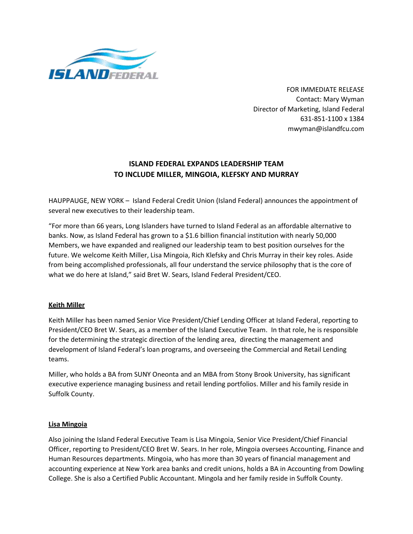

FOR IMMEDIATE RELEASE Contact: Mary Wyman Director of Marketing, Island Federal 631-851-1100 x 1384 mwyman@islandfcu.com

# **ISLAND FEDERAL EXPANDS LEADERSHIP TEAM TO INCLUDE MILLER, MINGOIA, KLEFSKY AND MURRAY**

HAUPPAUGE, NEW YORK – Island Federal Credit Union (Island Federal) announces the appointment of several new executives to their leadership team.

"For more than 66 years, Long Islanders have turned to Island Federal as an affordable alternative to banks. Now, as Island Federal has grown to a \$1.6 billion financial institution with nearly 50,000 Members, we have expanded and realigned our leadership team to best position ourselves for the future. We welcome Keith Miller, Lisa Mingoia, Rich Klefsky and Chris Murray in their key roles. Aside from being accomplished professionals, all four understand the service philosophy that is the core of what we do here at Island," said Bret W. Sears, Island Federal President/CEO.

### **Keith Miller**

Keith Miller has been named Senior Vice President/Chief Lending Officer at Island Federal, reporting to President/CEO Bret W. Sears, as a member of the Island Executive Team. In that role, he is responsible for the determining the strategic direction of the lending area, directing the management and development of Island Federal's loan programs, and overseeing the Commercial and Retail Lending teams.

Miller, who holds a BA from SUNY Oneonta and an MBA from Stony Brook University, has significant executive experience managing business and retail lending portfolios. Miller and his family reside in Suffolk County.

#### **Lisa Mingoia**

Also joining the Island Federal Executive Team is Lisa Mingoia, Senior Vice President/Chief Financial Officer, reporting to President/CEO Bret W. Sears. In her role, Mingoia oversees Accounting, Finance and Human Resources departments. Mingoia, who has more than 30 years of financial management and accounting experience at New York area banks and credit unions, holds a BA in Accounting from Dowling College. She is also a Certified Public Accountant. Mingola and her family reside in Suffolk County.